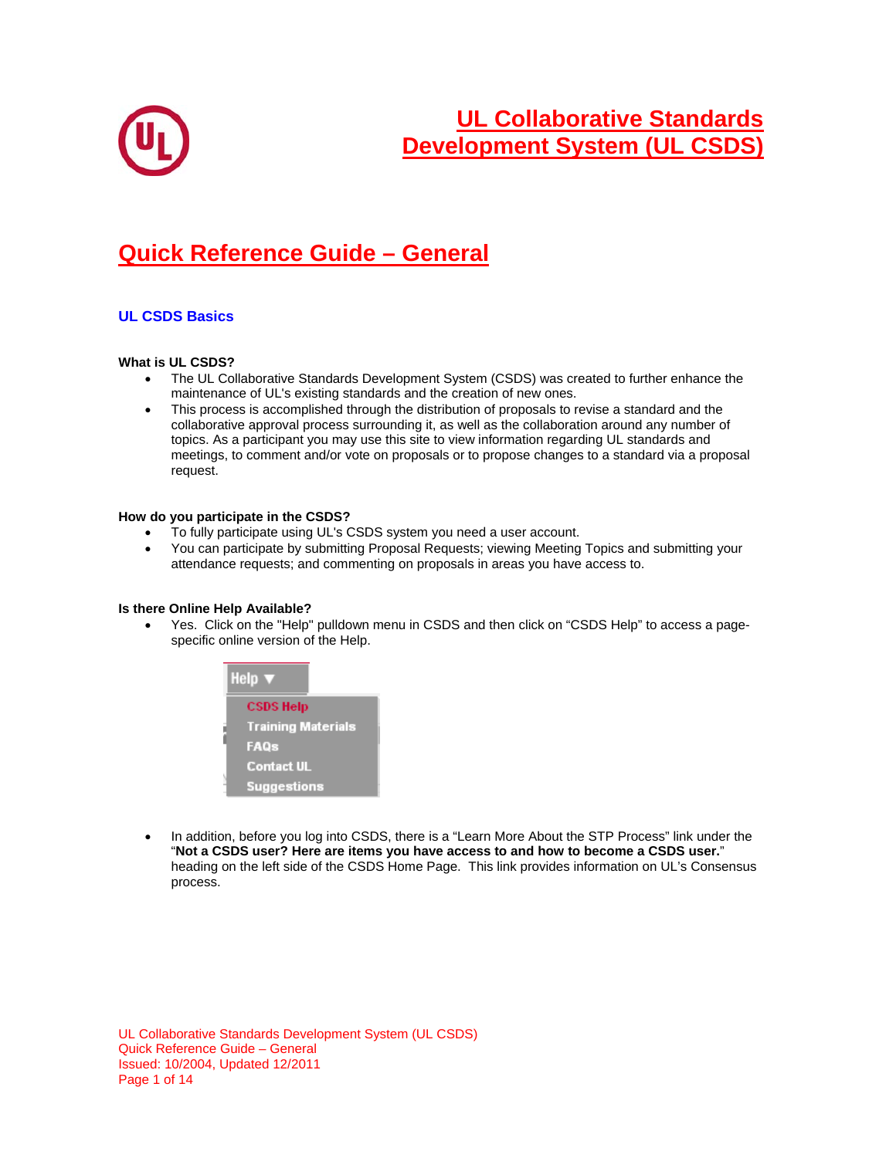

# **Quick Reference Guide – General**

## **UL CSDS Basics**

#### **What is UL CSDS?**

- The UL Collaborative Standards Development System (CSDS) was created to further enhance the maintenance of UL's existing standards and the creation of new ones.
- This process is accomplished through the distribution of proposals to revise a standard and the collaborative approval process surrounding it, as well as the collaboration around any number of topics. As a participant you may use this site to view information regarding UL standards and meetings, to comment and/or vote on proposals or to propose changes to a standard via a proposal request.

#### **How do you participate in the CSDS?**

- To fully participate using UL's CSDS system you need a user account.
- You can participate by submitting Proposal Requests; viewing Meeting Topics and submitting your attendance requests; and commenting on proposals in areas you have access to.

#### **Is there Online Help Available?**

 Yes. Click on the "Help" pulldown menu in CSDS and then click on "CSDS Help" to access a pagespecific online version of the Help.



 In addition, before you log into CSDS, there is a "Learn More About the STP Process" link under the "**Not a CSDS user? Here are items you have access to and how to become a CSDS user.**" heading on the left side of the CSDS Home Page. This link provides information on UL's Consensus process.

UL Collaborative Standards Development System (UL CSDS) Quick Reference Guide – General Issued: 10/2004, Updated 12/2011 Page 1 of 14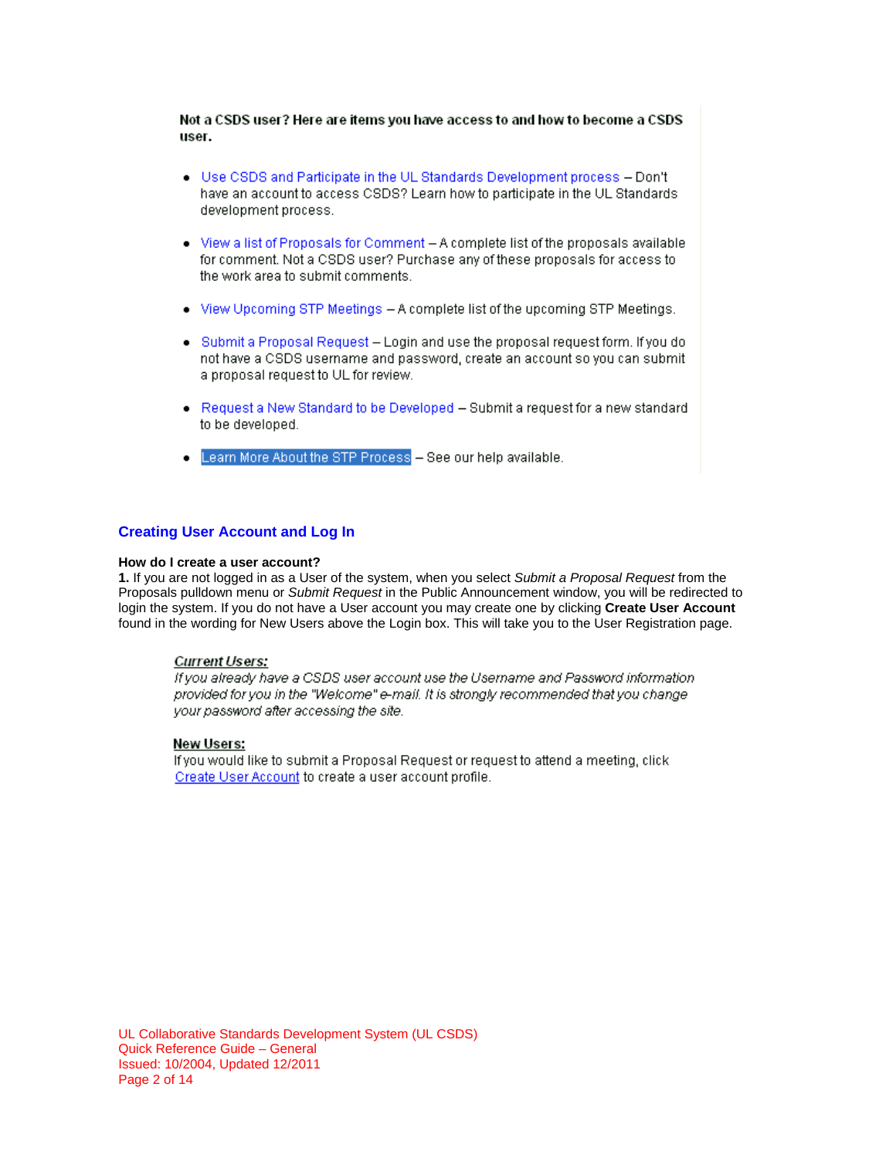Not a CSDS user? Here are items you have access to and how to become a CSDS user.

- . Use CSDS and Participate in the UL Standards Development process Don't have an account to access CSDS? Learn how to participate in the UL Standards development process.
- . View a list of Proposals for Comment A complete list of the proposals available for comment. Not a CSDS user? Purchase any of these proposals for access to the work area to submit comments.
- . View Upcoming STP Meetings A complete list of the upcoming STP Meetings.
- . Submit a Proposal Request Login and use the proposal request form. If you do not have a CSDS username and password, create an account so you can submit a proposal request to UL for review.
- Request a New Standard to be Developed Submit a request for a new standard to be developed.
- Learn More About the STP Process See our help available.

## **Creating User Account and Log In**

#### **How do I create a user account?**

**1.** If you are not logged in as a User of the system, when you select *Submit a Proposal Request* from the Proposals pulldown menu or *Submit Request* in the Public Announcement window, you will be redirected to login the system. If you do not have a User account you may create one by clicking **Create User Account**  found in the wording for New Users above the Login box. This will take you to the User Registration page.

#### **Current Users:**

If you already have a CSDS user account use the Username and Password information provided for you in the "Welcome" e-mail. It is strongly recommended that you change your password after accessing the site.

#### New Users:

If you would like to submit a Proposal Request or request to attend a meeting, click Create User Account to create a user account profile.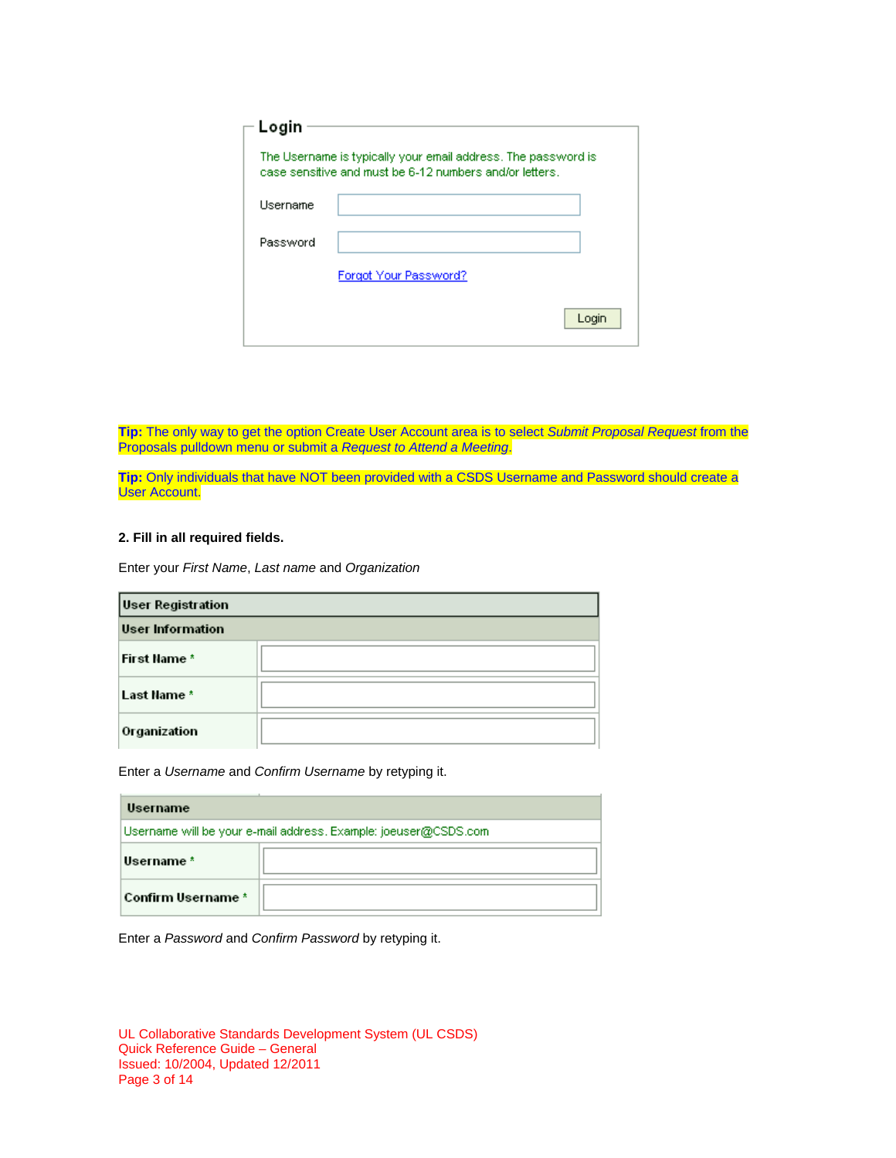| Login    |                                                                                                                          |
|----------|--------------------------------------------------------------------------------------------------------------------------|
|          | The Username is typically your email address. The password is<br>case sensitive and must be 6-12 numbers and/or letters. |
| Username |                                                                                                                          |
| Password |                                                                                                                          |
|          | Forgot Your Password?                                                                                                    |
|          | Login                                                                                                                    |

**Tip:** The only way to get the option Create User Account area is to select *Submit Proposal Request* from the Proposals pulldown menu or submit a *Request to Attend a Meeting*.

**Tip:** Only individuals that have NOT been provided with a CSDS Username and Password should create a User Account.

## **2. Fill in all required fields.**

Enter your *First Name*, *Last name* and *Organization*

| <b>User Registration</b> |  |  |
|--------------------------|--|--|
| <b>User Information</b>  |  |  |
| First Name *             |  |  |
| Last Name *              |  |  |
| Organization             |  |  |

Enter a *Username* and *Confirm Username* by retyping it.

| Username                                                        |  |  |  |
|-----------------------------------------------------------------|--|--|--|
| Username will be your e-mail address. Example: joeuser@CSDS.com |  |  |  |
| Username *                                                      |  |  |  |
| Confirm Username *                                              |  |  |  |

Enter a *Password* and *Confirm Password* by retyping it.

| UL Collaborative Standards Development System (UL CSDS) |  |
|---------------------------------------------------------|--|
| Quick Reference Guide – General                         |  |
| Issued: 10/2004, Updated 12/2011                        |  |
| Page 3 of 14                                            |  |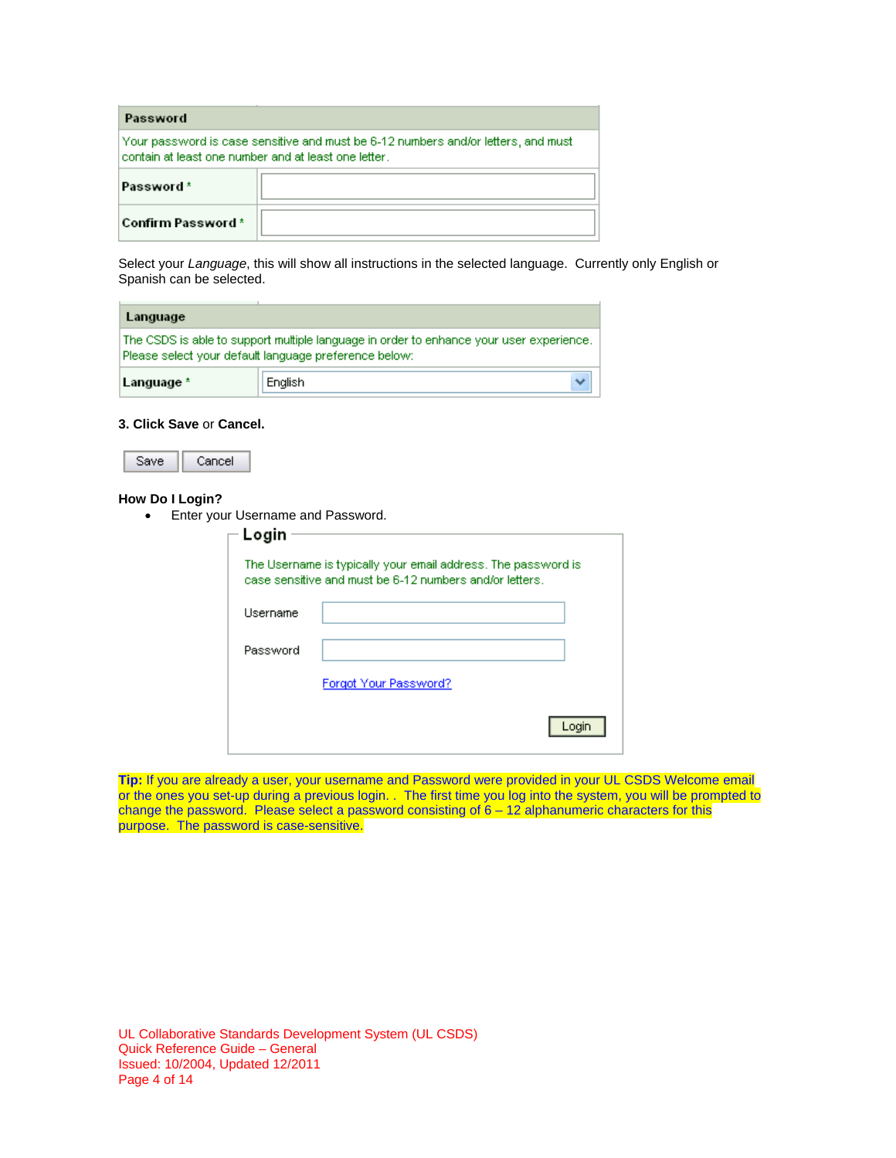| Password                                                                                                                                  |  |  |
|-------------------------------------------------------------------------------------------------------------------------------------------|--|--|
| Your password is case sensitive and must be 6-12 numbers and/or letters, and must<br>contain at least one number and at least one letter. |  |  |
| Password*                                                                                                                                 |  |  |
| <b>Confirm Password*</b>                                                                                                                  |  |  |

Select your *Language*, this will show all instructions in the selected language. Currently only English or Spanish can be selected.

| Language                                                                                                                                         |         |  |
|--------------------------------------------------------------------------------------------------------------------------------------------------|---------|--|
| The CSDS is able to support multiple language in order to enhance your user experience.<br>Please select your default language preference below: |         |  |
| Language *                                                                                                                                       | English |  |

#### **3. Click Save** or **Cancel.**

| ave | Cancel |
|-----|--------|
|-----|--------|

## **How Do I Login?**

• Enter your Username and Password.

| Login    |                                                                                                                          |  |
|----------|--------------------------------------------------------------------------------------------------------------------------|--|
|          | The Username is typically your email address. The password is<br>case sensitive and must be 6-12 numbers and/or letters. |  |
| Username |                                                                                                                          |  |
| Password |                                                                                                                          |  |
|          | Forgot Your Password?                                                                                                    |  |
|          |                                                                                                                          |  |

**Tip:** If you are already a user, your username and Password were provided in your UL CSDS Welcome email or the ones you set-up during a previous login. . The first time you log into the system, you will be prompted to change the password. Please select a password consisting of 6 – 12 alphanumeric characters for this purpose. The password is case-sensitive.

UL Collaborative Standards Development System (UL CSDS) Quick Reference Guide – General Issued: 10/2004, Updated 12/2011 Page 4 of 14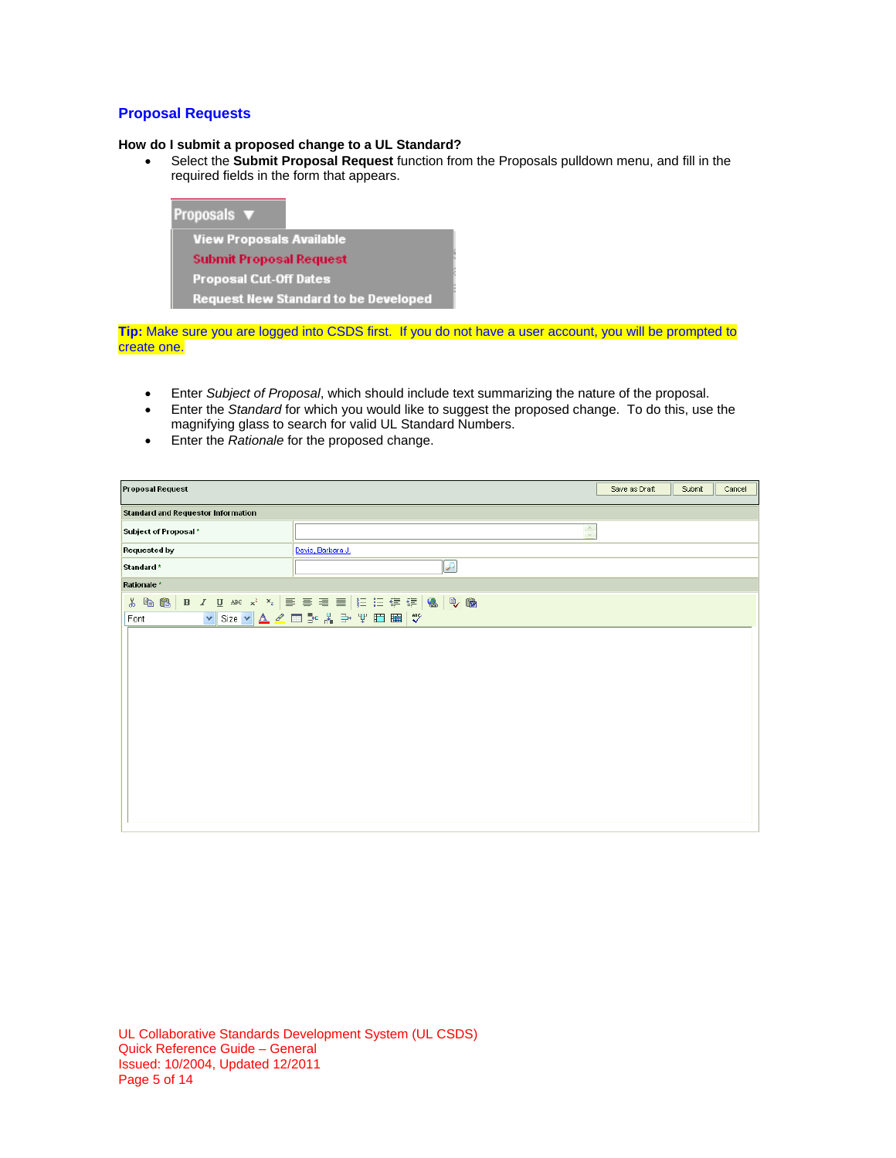## **Proposal Requests**

## **How do I submit a proposed change to a UL Standard?**

 Select the **Submit Proposal Request** function from the Proposals pulldown menu, and fill in the required fields in the form that appears.



**Tip:** Make sure you are logged into CSDS first. If you do not have a user account, you will be prompted to create one.

- Enter *Subject of Proposal*, which should include text summarizing the nature of the proposal.
- Enter the *Standard* for which you would like to suggest the proposed change. To do this, use the magnifying glass to search for valid UL Standard Numbers.
- Enter the *Rationale* for the proposed change.

| Proposal Request                          |                             | Save as Draft | Submit | Cancel |  |  |
|-------------------------------------------|-----------------------------|---------------|--------|--------|--|--|
| <b>Standard and Requestor Information</b> |                             |               |        |        |  |  |
| Subject of Proposal *                     | $\frac{R}{M}$               |               |        |        |  |  |
| Requested by                              | Davis, Barbara J.           |               |        |        |  |  |
| Standard *                                | ₽                           |               |        |        |  |  |
| Rationale *                               |                             |               |        |        |  |  |
|                                           |                             |               |        |        |  |  |
| Font                                      | ▼Size ▼ A 2 回 2 米 3 平 田 囲 ♥ |               |        |        |  |  |
|                                           |                             |               |        |        |  |  |
|                                           |                             |               |        |        |  |  |
|                                           |                             |               |        |        |  |  |
|                                           |                             |               |        |        |  |  |
|                                           |                             |               |        |        |  |  |
|                                           |                             |               |        |        |  |  |
|                                           |                             |               |        |        |  |  |
|                                           |                             |               |        |        |  |  |
|                                           |                             |               |        |        |  |  |
|                                           |                             |               |        |        |  |  |
|                                           |                             |               |        |        |  |  |
|                                           |                             |               |        |        |  |  |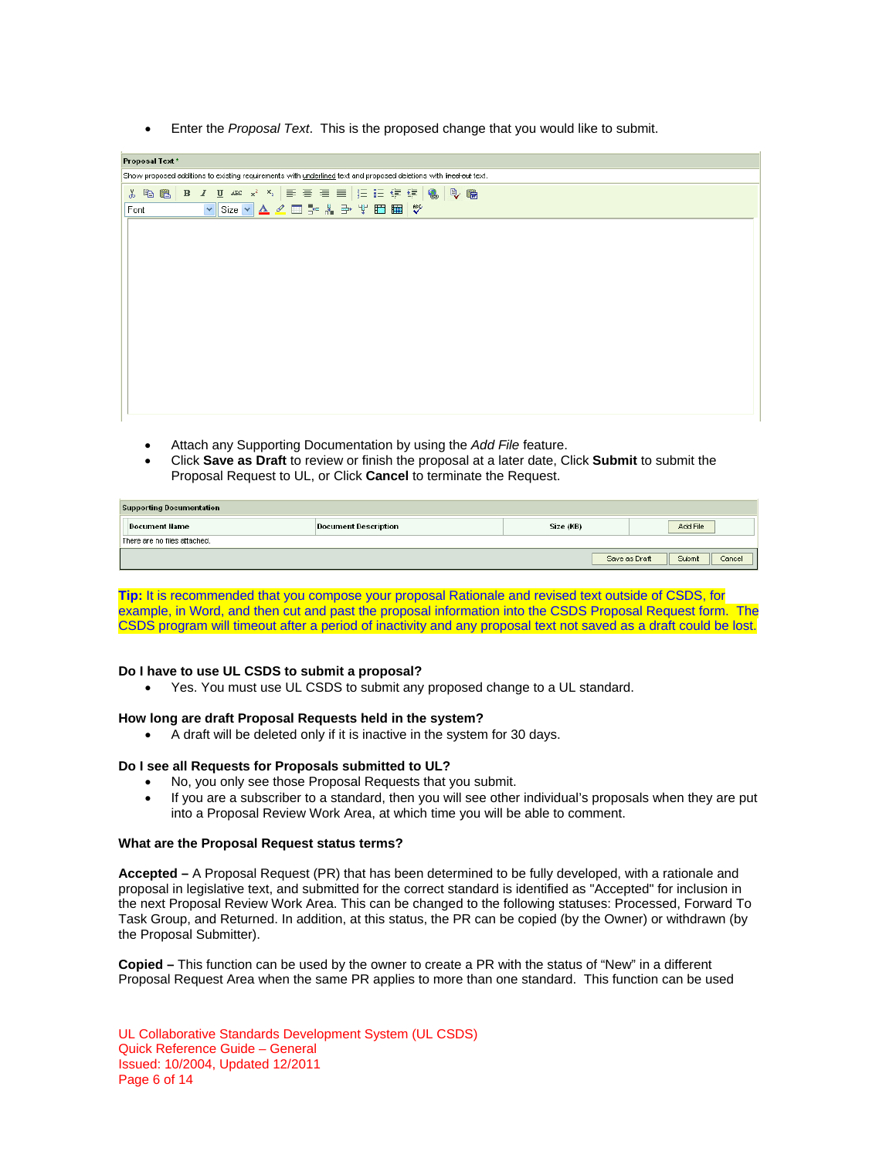Enter the *Proposal Text*. This is the proposed change that you would like to submit.

| Proposal Text *                                                                                                   |  |  |  |  |
|-------------------------------------------------------------------------------------------------------------------|--|--|--|--|
| Show proposed additions to existing requirements with underlined text and proposed deletions with lined out text. |  |  |  |  |
|                                                                                                                   |  |  |  |  |
| ▼Size ▼ A 2 回 ※ * ∌ \ □ 国 野 ↓<br>Font                                                                             |  |  |  |  |
|                                                                                                                   |  |  |  |  |
|                                                                                                                   |  |  |  |  |
|                                                                                                                   |  |  |  |  |
|                                                                                                                   |  |  |  |  |
|                                                                                                                   |  |  |  |  |
|                                                                                                                   |  |  |  |  |
|                                                                                                                   |  |  |  |  |
|                                                                                                                   |  |  |  |  |
|                                                                                                                   |  |  |  |  |
|                                                                                                                   |  |  |  |  |
|                                                                                                                   |  |  |  |  |
|                                                                                                                   |  |  |  |  |
|                                                                                                                   |  |  |  |  |

- Attach any Supporting Documentation by using the *Add File* feature.
- Click **Save as Draft** to review or finish the proposal at a later date, Click **Submit** to submit the Proposal Request to UL, or Click **Cancel** to terminate the Request.

| <b>Supporting Documentation</b> |                      |           |                                   |  |
|---------------------------------|----------------------|-----------|-----------------------------------|--|
| Document Name                   | Document Description | Size (KB) | Add File                          |  |
| There are no files attached.    |                      |           |                                   |  |
|                                 |                      |           | Submit<br>Save as Draft<br>Cancel |  |

**Tip:** It is recommended that you compose your proposal Rationale and revised text outside of CSDS, for example, in Word, and then cut and past the proposal information into the CSDS Proposal Request form. The CSDS program will timeout after a period of inactivity and any proposal text not saved as a draft could be lost.

#### **Do I have to use UL CSDS to submit a proposal?**

Yes. You must use UL CSDS to submit any proposed change to a UL standard.

#### **How long are draft Proposal Requests held in the system?**

A draft will be deleted only if it is inactive in the system for 30 days.

#### **Do I see all Requests for Proposals submitted to UL?**

- No, you only see those Proposal Requests that you submit.
- If you are a subscriber to a standard, then you will see other individual's proposals when they are put into a Proposal Review Work Area, at which time you will be able to comment.

#### **What are the Proposal Request status terms?**

**Accepted –** A Proposal Request (PR) that has been determined to be fully developed, with a rationale and proposal in legislative text, and submitted for the correct standard is identified as "Accepted" for inclusion in the next Proposal Review Work Area. This can be changed to the following statuses: Processed, Forward To Task Group, and Returned. In addition, at this status, the PR can be copied (by the Owner) or withdrawn (by the Proposal Submitter).

**Copied –** This function can be used by the owner to create a PR with the status of "New" in a different Proposal Request Area when the same PR applies to more than one standard. This function can be used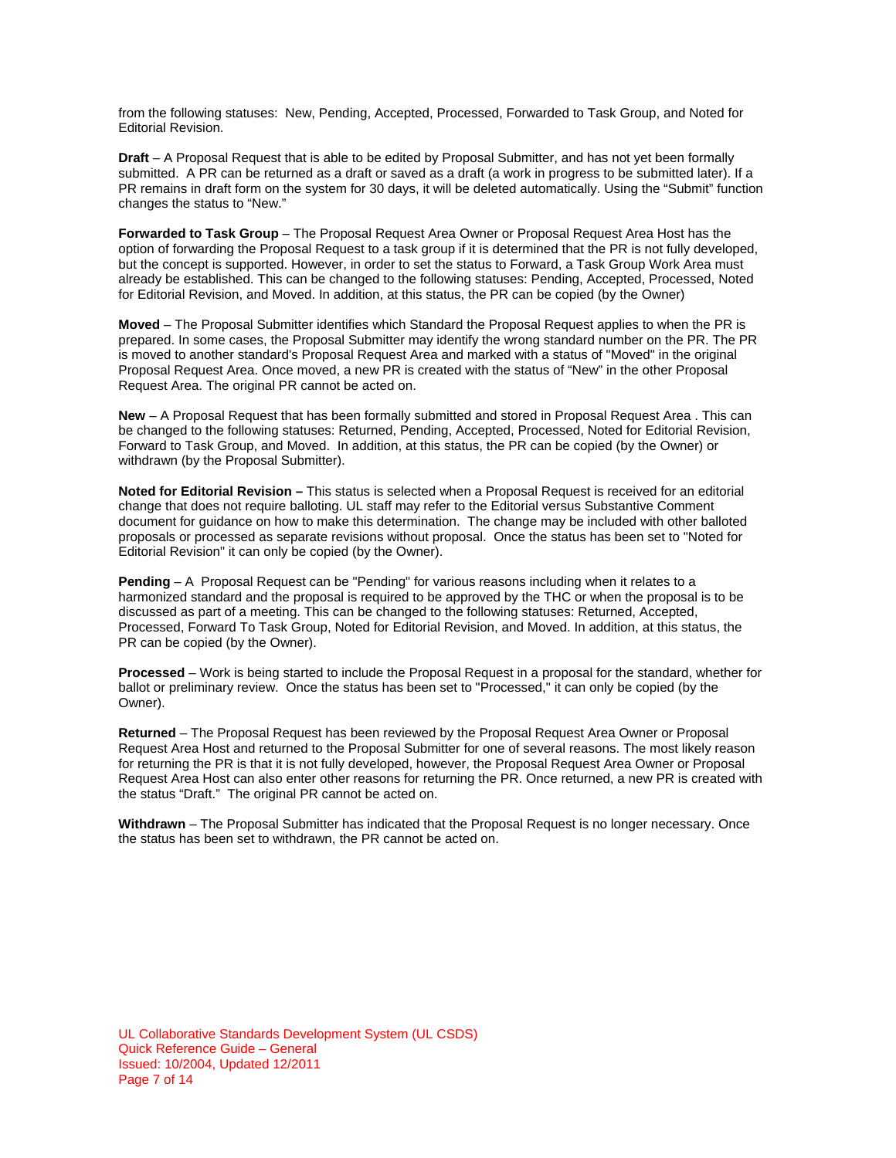from the following statuses: New, Pending, Accepted, Processed, Forwarded to Task Group, and Noted for Editorial Revision.

**Draft** – A Proposal Request that is able to be edited by Proposal Submitter, and has not yet been formally submitted. A PR can be returned as a draft or saved as a draft (a work in progress to be submitted later). If a PR remains in draft form on the system for 30 days, it will be deleted automatically. Using the "Submit" function changes the status to "New."

**Forwarded to Task Group** – The Proposal Request Area Owner or Proposal Request Area Host has the option of forwarding the Proposal Request to a task group if it is determined that the PR is not fully developed, but the concept is supported. However, in order to set the status to Forward, a Task Group Work Area must already be established. This can be changed to the following statuses: Pending, Accepted, Processed, Noted for Editorial Revision, and Moved. In addition, at this status, the PR can be copied (by the Owner)

**Moved** – The Proposal Submitter identifies which Standard the Proposal Request applies to when the PR is prepared. In some cases, the Proposal Submitter may identify the wrong standard number on the PR. The PR is moved to another standard's Proposal Request Area and marked with a status of "Moved" in the original Proposal Request Area. Once moved, a new PR is created with the status of "New" in the other Proposal Request Area. The original PR cannot be acted on.

**New** – A Proposal Request that has been formally submitted and stored in Proposal Request Area . This can be changed to the following statuses: Returned, Pending, Accepted, Processed, Noted for Editorial Revision, Forward to Task Group, and Moved. In addition, at this status, the PR can be copied (by the Owner) or withdrawn (by the Proposal Submitter).

**Noted for Editorial Revision –** This status is selected when a Proposal Request is received for an editorial change that does not require balloting. UL staff may refer to the Editorial versus Substantive Comment document for guidance on how to make this determination. The change may be included with other balloted proposals or processed as separate revisions without proposal. Once the status has been set to "Noted for Editorial Revision" it can only be copied (by the Owner).

**Pending** – A Proposal Request can be "Pending" for various reasons including when it relates to a harmonized standard and the proposal is required to be approved by the THC or when the proposal is to be discussed as part of a meeting. This can be changed to the following statuses: Returned, Accepted, Processed, Forward To Task Group, Noted for Editorial Revision, and Moved. In addition, at this status, the PR can be copied (by the Owner).

**Processed** – Work is being started to include the Proposal Request in a proposal for the standard, whether for ballot or preliminary review. Once the status has been set to "Processed," it can only be copied (by the Owner).

**Returned** – The Proposal Request has been reviewed by the Proposal Request Area Owner or Proposal Request Area Host and returned to the Proposal Submitter for one of several reasons. The most likely reason for returning the PR is that it is not fully developed, however, the Proposal Request Area Owner or Proposal Request Area Host can also enter other reasons for returning the PR. Once returned, a new PR is created with the status "Draft." The original PR cannot be acted on.

**Withdrawn** – The Proposal Submitter has indicated that the Proposal Request is no longer necessary. Once the status has been set to withdrawn, the PR cannot be acted on.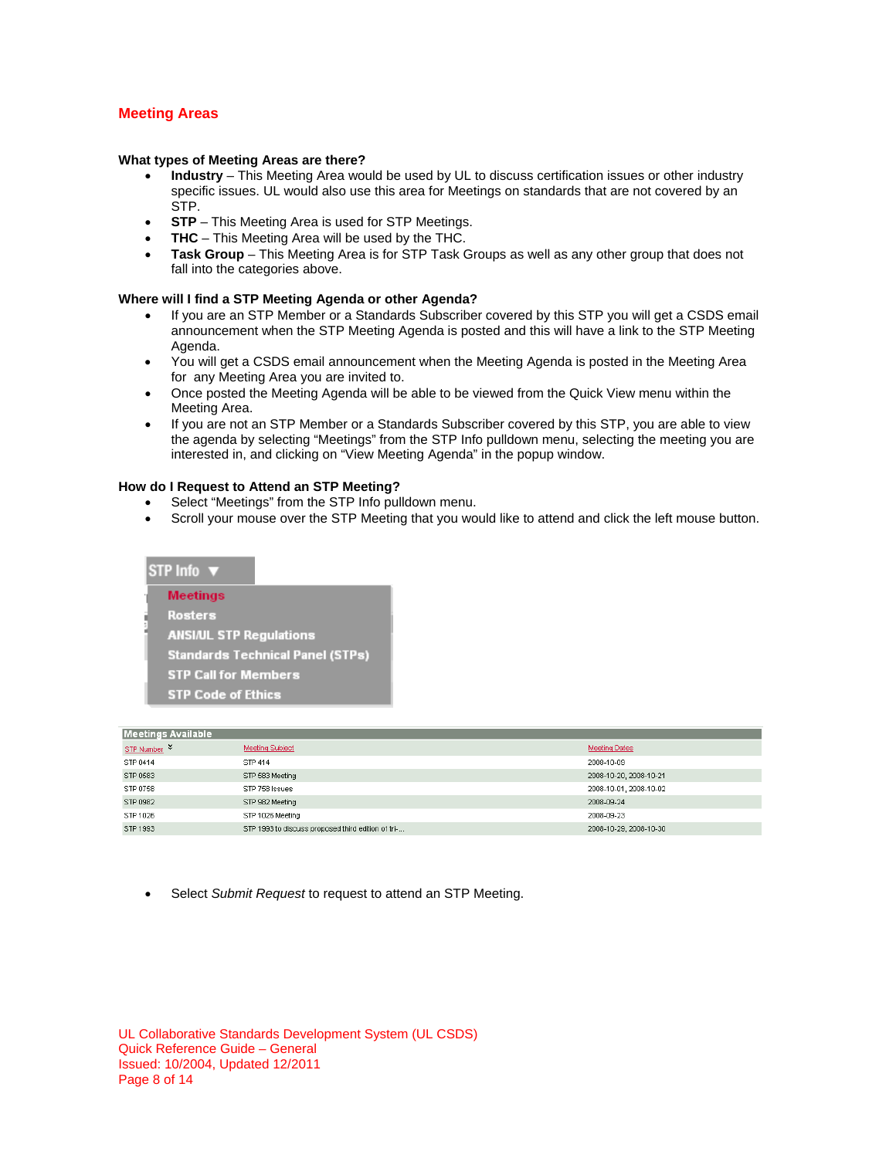## **Meeting Areas**

#### **What types of Meeting Areas are there?**

- **Industry** This Meeting Area would be used by UL to discuss certification issues or other industry specific issues. UL would also use this area for Meetings on standards that are not covered by an STP.
- **STP** This Meeting Area is used for STP Meetings.
- **THC** This Meeting Area will be used by the THC.
- **Task Group** This Meeting Area is for STP Task Groups as well as any other group that does not fall into the categories above.

#### **Where will I find a STP Meeting Agenda or other Agenda?**

- If you are an STP Member or a Standards Subscriber covered by this STP you will get a CSDS email announcement when the STP Meeting Agenda is posted and this will have a link to the STP Meeting Agenda.
- You will get a CSDS email announcement when the Meeting Agenda is posted in the Meeting Area for any Meeting Area you are invited to.
- Once posted the Meeting Agenda will be able to be viewed from the Quick View menu within the Meeting Area.
- If you are not an STP Member or a Standards Subscriber covered by this STP, you are able to view the agenda by selecting "Meetings" from the STP Info pulldown menu, selecting the meeting you are interested in, and clicking on "View Meeting Agenda" in the popup window.

#### **How do I Request to Attend an STP Meeting?**

- Select "Meetings" from the STP Info pulldown menu.
- Scroll your mouse over the STP Meeting that you would like to attend and click the left mouse button.

## STP Info ▼ **Meetings Rosters ANSI/UL STP Regulations Standards Technical Panel (STPs) STP Call for Members STP Code of Ethics**

| <b>Meetings Available</b> |                                                    |                        |  |
|---------------------------|----------------------------------------------------|------------------------|--|
| STP Number <sup>↓</sup>   | <b>Meeting Subject</b>                             | <b>Meeting Dates</b>   |  |
| STP 0414                  | STP 414                                            | 2008-10-09             |  |
| STP 0583                  | STP 583 Meeting                                    | 2008-10-20, 2008-10-21 |  |
| STP 0758                  | STP 758 Issues                                     | 2008-10-01, 2008-10-02 |  |
| STP 0982                  | STP 982 Meeting                                    | 2008-09-24             |  |
| STP 1026                  | STP 1026 Meeting                                   | 2008-09-23             |  |
| STP 1993                  | STP 1993 to discuss proposed third edition of tri- | 2008-10-29, 2008-10-30 |  |

Select *Submit Request* to request to attend an STP Meeting.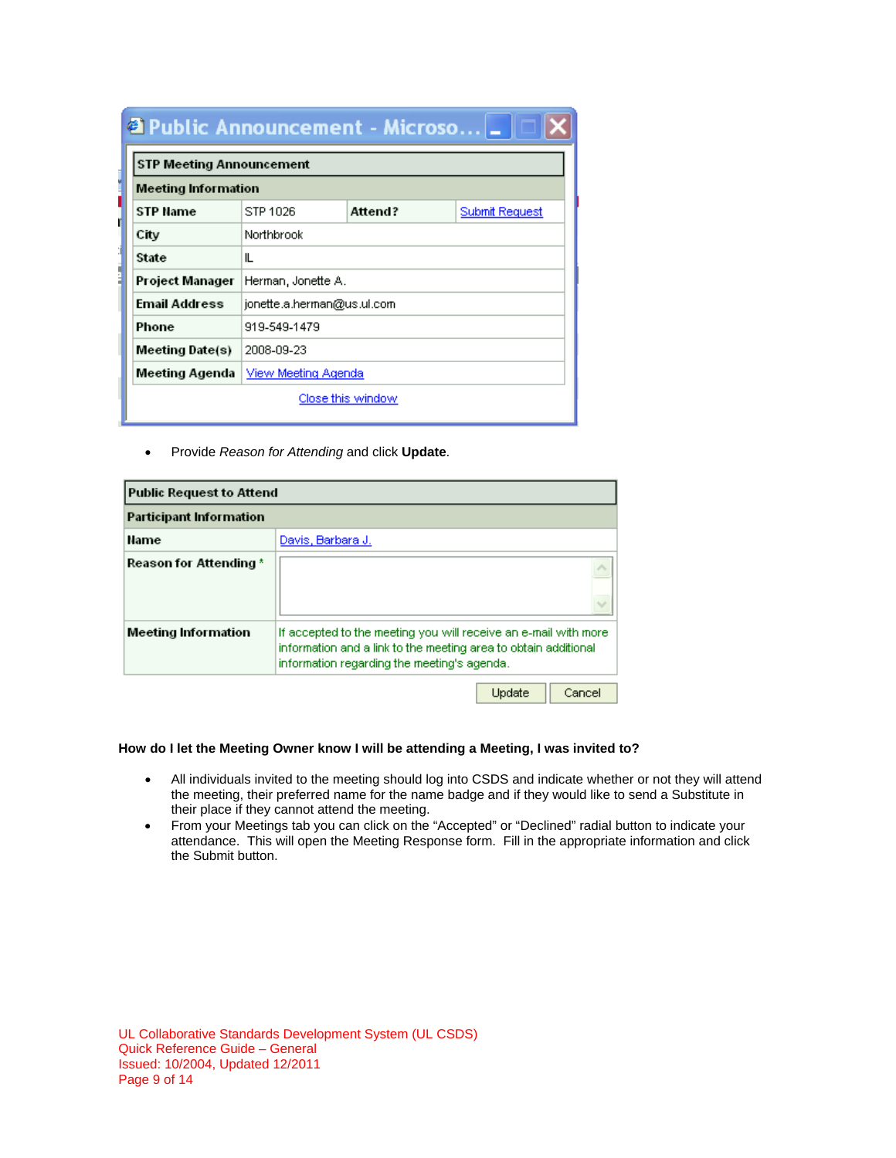| <b>2</b> Public Announcement - Microso $\  \_ \ $ |                            |                           |  |  |  |
|---------------------------------------------------|----------------------------|---------------------------|--|--|--|
| <b>STP Meeting Announcement</b>                   |                            |                           |  |  |  |
|                                                   | <b>Meeting Information</b> |                           |  |  |  |
| <b>STP Name</b>                                   | STP 1026                   | Attend?<br>Submit Request |  |  |  |
| City                                              | Northbrook                 |                           |  |  |  |
| State                                             | IL                         |                           |  |  |  |
| Project Manager                                   | Herman, Jonette A.         |                           |  |  |  |
| <b>Email Address</b>                              | jonette.a.herman@us.ul.com |                           |  |  |  |
| Phone                                             | 919-549-1479               |                           |  |  |  |
| Meeting Date(s)                                   | 2008-09-23                 |                           |  |  |  |
| Meeting Agenda                                    | View Meeting Agenda        |                           |  |  |  |

Close this window

Provide *Reason for Attending* and click **Update**.

| <b>Public Request to Attend</b> |                                                                                                                                                                                   |        |        |
|---------------------------------|-----------------------------------------------------------------------------------------------------------------------------------------------------------------------------------|--------|--------|
| <b>Participant Information</b>  |                                                                                                                                                                                   |        |        |
| Name                            | Davis, Barbara J.                                                                                                                                                                 |        |        |
| Reason for Attending *          |                                                                                                                                                                                   |        |        |
| Meeting Information             | If accepted to the meeting you will receive an e-mail with more<br>information and a link to the meeting area to obtain additional<br>information regarding the meeting's agenda. |        |        |
|                                 |                                                                                                                                                                                   | Update | Cancel |

## **How do I let the Meeting Owner know I will be attending a Meeting, I was invited to?**

- All individuals invited to the meeting should log into CSDS and indicate whether or not they will attend the meeting, their preferred name for the name badge and if they would like to send a Substitute in their place if they cannot attend the meeting.
- From your Meetings tab you can click on the "Accepted" or "Declined" radial button to indicate your attendance. This will open the Meeting Response form. Fill in the appropriate information and click the Submit button.

UL Collaborative Standards Development System (UL CSDS) Quick Reference Guide – General Issued: 10/2004, Updated 12/2011 Page 9 of 14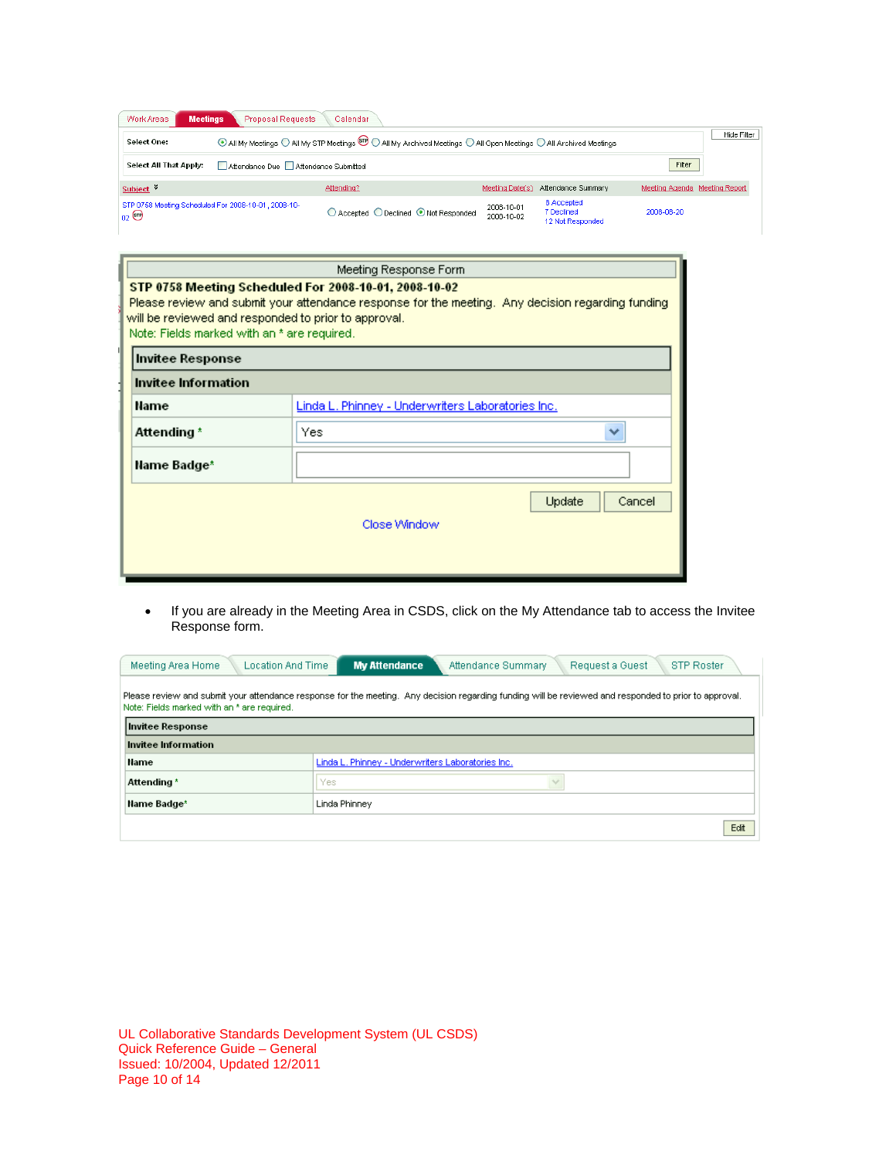| Work Areas<br><b>Meetings</b>                                          | <b>Proposal Requests</b>            | Calendar                                                                                                                      |                          |                                              |                               |             |
|------------------------------------------------------------------------|-------------------------------------|-------------------------------------------------------------------------------------------------------------------------------|--------------------------|----------------------------------------------|-------------------------------|-------------|
| Select One:                                                            |                                     | ⊙ All My Meetings ○ All My STP Meetings <sup>199</sup> ○ All My Archived Meetings ○ All Open Meetings ○ All Archived Meetings |                          |                                              |                               | Hide Filter |
| Select All That Apply:                                                 | Attendance Due Attendance Submitted |                                                                                                                               |                          |                                              | Filter                        |             |
| Subject <sup>%</sup>                                                   |                                     | Attending?                                                                                                                    | Meeting Date(s)          | Attendance Summary                           | Meeting Agenda Meeting Report |             |
| STP 0758 Meeting Scheduled For 2008-10-01, 2008-10-<br>$_{02}$ $\odot$ |                                     | ○ Accepted ○ Declined ● Not Responded                                                                                         | 2008-10-01<br>2008-10-02 | 8 Accepted<br>7 Declined<br>12 Not Responded | 2008-08-20                    |             |

| Meeting Response Form                                                                                                                                                                                                                                             |                                                   |  |
|-------------------------------------------------------------------------------------------------------------------------------------------------------------------------------------------------------------------------------------------------------------------|---------------------------------------------------|--|
| STP 0758 Meeting Scheduled For 2008-10-01, 2008-10-02<br>Please review and submit your attendance response for the meeting. Any decision regarding funding<br>will be reviewed and responded to prior to approval.<br>Note: Fields marked with an * are required. |                                                   |  |
| <b>Invitee Response</b>                                                                                                                                                                                                                                           |                                                   |  |
| Invitee Information                                                                                                                                                                                                                                               |                                                   |  |
| Name                                                                                                                                                                                                                                                              | Linda L. Phinney - Underwriters Laboratories Inc. |  |
| Attending *                                                                                                                                                                                                                                                       | Yes<br>v                                          |  |
| Name Badge*                                                                                                                                                                                                                                                       |                                                   |  |
|                                                                                                                                                                                                                                                                   | Update<br>Cancel<br>Close Window                  |  |

 If you are already in the Meeting Area in CSDS, click on the My Attendance tab to access the Invitee Response form.

| Meeting Area Home                                                                                                                                                                                     | <b>My Attendance</b><br><b>Location And Time</b><br><b>STP Roster</b><br>Attendance Summary<br>Request a Guest |  |  |
|-------------------------------------------------------------------------------------------------------------------------------------------------------------------------------------------------------|----------------------------------------------------------------------------------------------------------------|--|--|
| Please review and submit your attendance response for the meeting. Any decision regarding funding will be reviewed and responded to prior to approval.<br>Note: Fields marked with an * are required. |                                                                                                                |  |  |
| Invitee Response                                                                                                                                                                                      |                                                                                                                |  |  |
| Invitee Information                                                                                                                                                                                   |                                                                                                                |  |  |
| Name                                                                                                                                                                                                  | Linda L. Phinney - Underwriters Laboratories Inc.                                                              |  |  |
| Attending *                                                                                                                                                                                           | Yes.                                                                                                           |  |  |
| Name Badge*                                                                                                                                                                                           | Linda Phinney                                                                                                  |  |  |
|                                                                                                                                                                                                       | Edit                                                                                                           |  |  |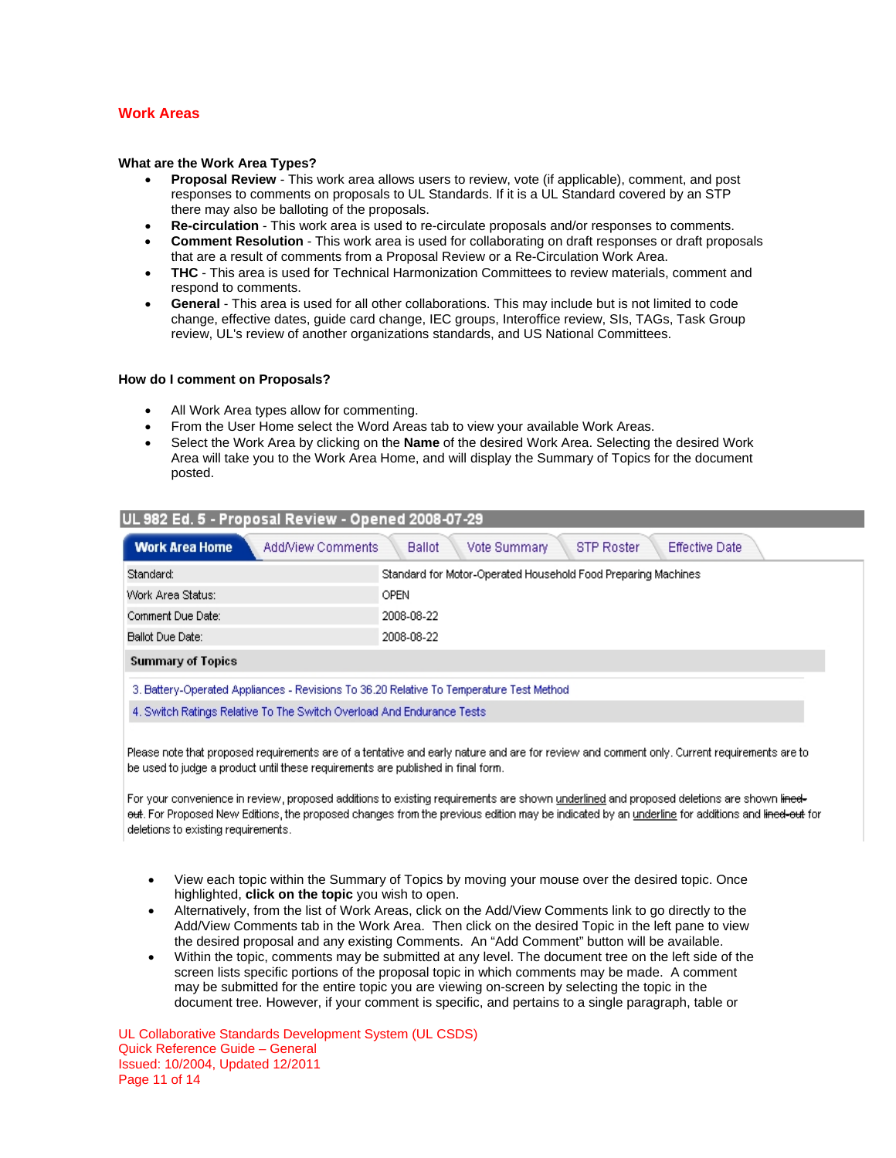## **Work Areas**

#### **What are the Work Area Types?**

- **Proposal Review** This work area allows users to review, vote (if applicable), comment, and post responses to comments on proposals to UL Standards. If it is a UL Standard covered by an STP there may also be balloting of the proposals.
- **Re-circulation** This work area is used to re-circulate proposals and/or responses to comments.
- **Comment Resolution** This work area is used for collaborating on draft responses or draft proposals that are a result of comments from a Proposal Review or a Re-Circulation Work Area.
- **THC** This area is used for Technical Harmonization Committees to review materials, comment and respond to comments.
- **General**  This area is used for all other collaborations. This may include but is not limited to code change, effective dates, guide card change, IEC groups, Interoffice review, SIs, TAGs, Task Group review, UL's review of another organizations standards, and US National Committees.

#### **How do I comment on Proposals?**

- All Work Area types allow for commenting.
- From the User Home select the Word Areas tab to view your available Work Areas.
- Select the Work Area by clicking on the **Name** of the desired Work Area. Selecting the desired Work Area will take you to the Work Area Home, and will display the Summary of Topics for the document posted.

| UL 982 Ed. 5 - Proposal Review - Opened 2008-07-29                                                                       |                                                               |
|--------------------------------------------------------------------------------------------------------------------------|---------------------------------------------------------------|
| <b>Work Area Home</b><br>Vote Summary<br>AddMiew Comments<br><b>Effective Date</b><br><b>Ballot</b><br><b>STP Roster</b> |                                                               |
| Standard:                                                                                                                | Standard for Motor-Operated Household Food Preparing Machines |
| Work Area Status:                                                                                                        | <b>OPEN</b>                                                   |
| Comment Due Date:                                                                                                        | 2008-08-22                                                    |
| Ballot Due Date:                                                                                                         | 2008-08-22                                                    |
| <b>Summary of Topics</b>                                                                                                 |                                                               |
| 3. Battery-Operated Appliances - Revisions To 36.20 Relative To Temperature Test Method                                  |                                                               |
| 4. Switch Ratings Relative To The Switch Overload And Endurance Tests                                                    |                                                               |
|                                                                                                                          |                                                               |

Please note that proposed requirements are of a tentative and early nature and are for review and comment only. Current requirements are to be used to judge a product until these requirements are published in final form.

For your convenience in review, proposed additions to existing requirements are shown <u>underlined</u> and proposed deletions are shown l<del>ined-</del> e<del>ut</del>. For Proposed New Editions, the proposed changes from the previous edition may be indicated by an underline for additions and l<del>ined-out</del> for deletions to existing requirements.

- View each topic within the Summary of Topics by moving your mouse over the desired topic. Once highlighted, **click on the topic** you wish to open.
- Alternatively, from the list of Work Areas, click on the Add/View Comments link to go directly to the Add/View Comments tab in the Work Area. Then click on the desired Topic in the left pane to view the desired proposal and any existing Comments. An "Add Comment" button will be available.
- Within the topic, comments may be submitted at any level. The document tree on the left side of the screen lists specific portions of the proposal topic in which comments may be made. A comment may be submitted for the entire topic you are viewing on-screen by selecting the topic in the document tree. However, if your comment is specific, and pertains to a single paragraph, table or

UL Collaborative Standards Development System (UL CSDS) Quick Reference Guide – General Issued: 10/2004, Updated 12/2011 Page 11 of 14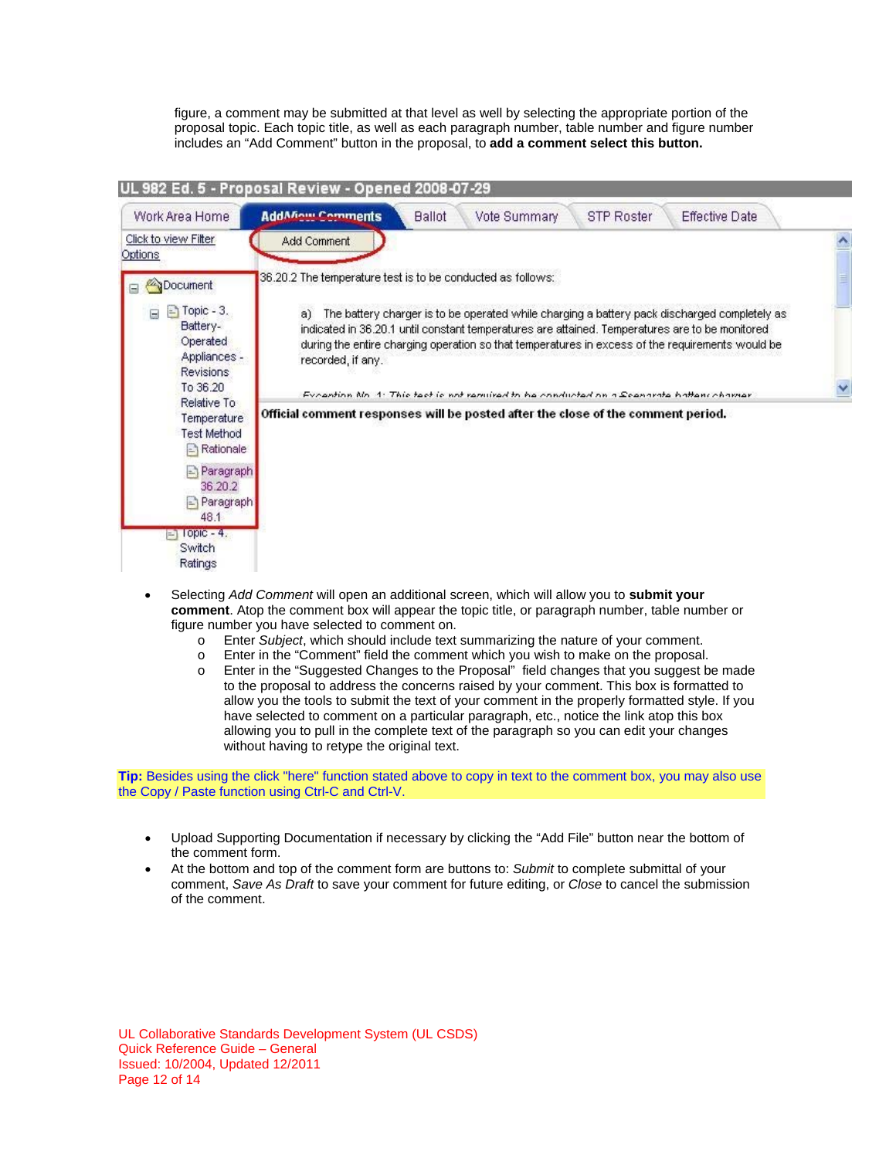figure, a comment may be submitted at that level as well by selecting the appropriate portion of the proposal topic. Each topic title, as well as each paragraph number, table number and figure number includes an "Add Comment" button in the proposal, to **add a comment select this button.**

|                                                                                                                                                                   | UL 982 Ed. 5 - Proposal Review - Opened 2008-07-29                                                                                                                                                                                                                                                                                                                                                                        |  |
|-------------------------------------------------------------------------------------------------------------------------------------------------------------------|---------------------------------------------------------------------------------------------------------------------------------------------------------------------------------------------------------------------------------------------------------------------------------------------------------------------------------------------------------------------------------------------------------------------------|--|
| Work Area Home                                                                                                                                                    | <b>AddAfiniti Comments</b><br><b>STP Roster</b><br><b>Ballot</b><br>Vote Summary<br><b>Effective Date</b>                                                                                                                                                                                                                                                                                                                 |  |
| Click to view Filter<br>Options                                                                                                                                   | Add Comment                                                                                                                                                                                                                                                                                                                                                                                                               |  |
| Document                                                                                                                                                          | 36.20.2 The temperature test is to be conducted as follows:                                                                                                                                                                                                                                                                                                                                                               |  |
| $\Box$ Topic - 3.<br>Ξ<br>Battery-<br>Operated<br>Appliances -<br><b>Revisions</b><br>To 36.20                                                                    | The battery charger is to be operated while charging a battery pack discharged completely as<br>a)<br>indicated in 36.20.1 until constant temperatures are attained. Temperatures are to be monitored<br>during the entire charging operation so that temperatures in excess of the requirements would be<br>recorded, if any.<br>Evention No. 1: This toot is not ramiral to be conducted on a Scanarate batters chamer. |  |
| Relative To<br>Temperature<br><b>Test Method</b><br>$\Rightarrow$ Rationale<br>Paragraph<br>$=$<br>36.20.2<br>Paragraph<br>E<br>48.1<br>$I$ opic - $4.$<br>Switch | Official comment responses will be posted after the close of the comment period.                                                                                                                                                                                                                                                                                                                                          |  |
| Ratings                                                                                                                                                           |                                                                                                                                                                                                                                                                                                                                                                                                                           |  |

- Selecting *Add Comment* will open an additional screen, which will allow you to **submit your comment**. Atop the comment box will appear the topic title, or paragraph number, table number or figure number you have selected to comment on.
	- o Enter *Subject*, which should include text summarizing the nature of your comment.
	- o Enter in the "Comment" field the comment which you wish to make on the proposal.
	- o Enter in the "Suggested Changes to the Proposal" field changes that you suggest be made to the proposal to address the concerns raised by your comment. This box is formatted to allow you the tools to submit the text of your comment in the properly formatted style. If you have selected to comment on a particular paragraph, etc., notice the link atop this box allowing you to pull in the complete text of the paragraph so you can edit your changes without having to retype the original text.

**Tip:** Besides using the click "here" function stated above to copy in text to the comment box, you may also use the Copy / Paste function using Ctrl-C and Ctrl-V.

- Upload Supporting Documentation if necessary by clicking the "Add File" button near the bottom of the comment form.
- At the bottom and top of the comment form are buttons to: *Submit* to complete submittal of your comment, *Save As Draft* to save your comment for future editing, or *Close* to cancel the submission of the comment.

UL Collaborative Standards Development System (UL CSDS) Quick Reference Guide – General Issued: 10/2004, Updated 12/2011 Page 12 of 14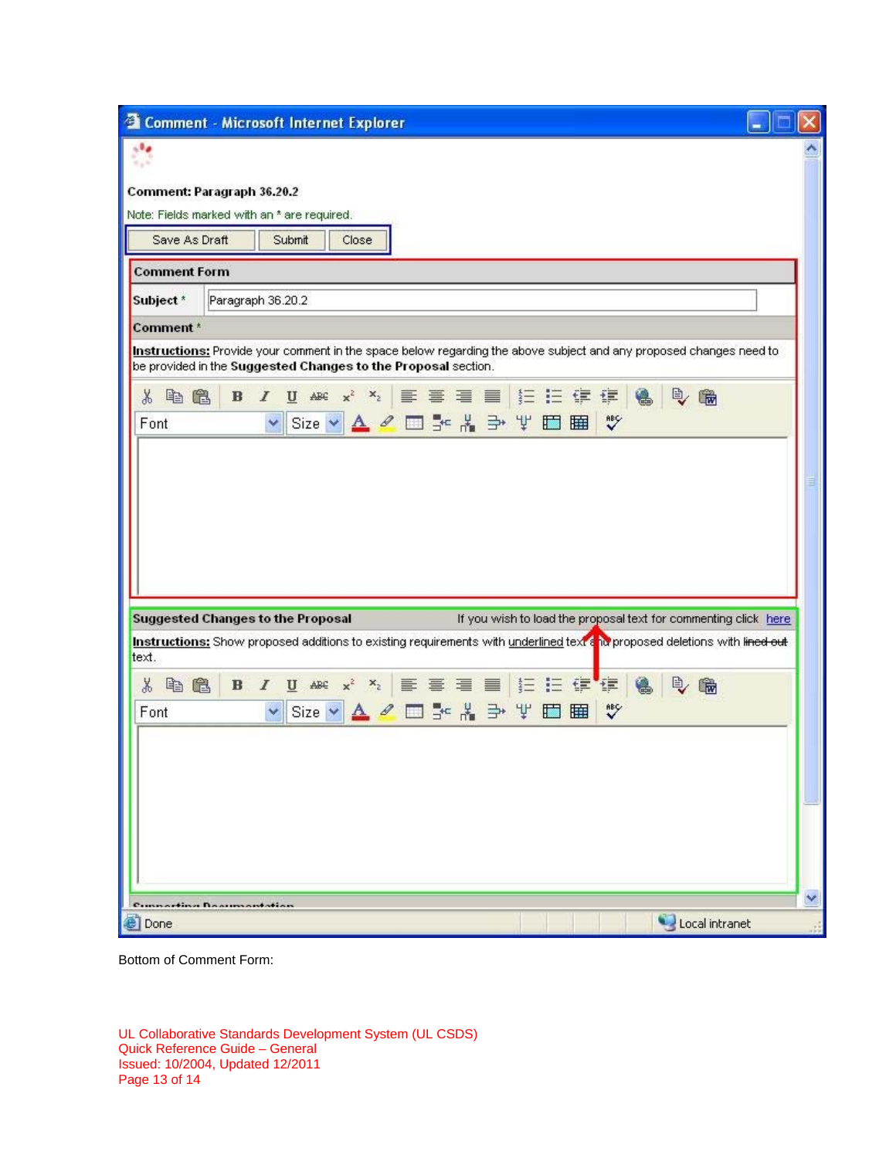| Comment: Paragraph 36.20.2<br>Note: Fields marked with an * are required.<br>Save As Draft<br>Submit<br>Close<br><b>Comment Form</b><br>Subject <sup>*</sup><br>Paragraph 36.20.2<br>Comment*<br>Instructions: Provide your comment in the space below regarding the above subject and any proposed changes need to<br>be provided in the Suggested Changes to the Proposal section.<br>$\mathbb{B}$<br>电偏<br>$\mathbf{B}$<br>隐<br>$\mathcal{I}$<br>¥,<br>Size v A 2 回 3 名 当 平 田 田<br>$\sqrt[36]{}$<br>Font<br><b>Suggested Changes to the Proposal</b><br>If you wish to load the proposal text for commenting click here<br>Instructions: Show proposed additions to existing requirements with underlined text & no proposed deletions with lined out<br>text.<br>X<br>电偏<br>$\Rightarrow$<br>偏<br>$\mathcal{L}$<br>▼ Size ▼ A 2 □ - * * → V □ 画<br>Font<br>v<br>Compactive Basonsontation | <sup>2</sup> Comment - Microsoft Internet Explorer |  |
|-----------------------------------------------------------------------------------------------------------------------------------------------------------------------------------------------------------------------------------------------------------------------------------------------------------------------------------------------------------------------------------------------------------------------------------------------------------------------------------------------------------------------------------------------------------------------------------------------------------------------------------------------------------------------------------------------------------------------------------------------------------------------------------------------------------------------------------------------------------------------------------------------|----------------------------------------------------|--|
|                                                                                                                                                                                                                                                                                                                                                                                                                                                                                                                                                                                                                                                                                                                                                                                                                                                                                               |                                                    |  |
|                                                                                                                                                                                                                                                                                                                                                                                                                                                                                                                                                                                                                                                                                                                                                                                                                                                                                               |                                                    |  |
|                                                                                                                                                                                                                                                                                                                                                                                                                                                                                                                                                                                                                                                                                                                                                                                                                                                                                               |                                                    |  |
|                                                                                                                                                                                                                                                                                                                                                                                                                                                                                                                                                                                                                                                                                                                                                                                                                                                                                               |                                                    |  |
|                                                                                                                                                                                                                                                                                                                                                                                                                                                                                                                                                                                                                                                                                                                                                                                                                                                                                               |                                                    |  |
|                                                                                                                                                                                                                                                                                                                                                                                                                                                                                                                                                                                                                                                                                                                                                                                                                                                                                               |                                                    |  |
|                                                                                                                                                                                                                                                                                                                                                                                                                                                                                                                                                                                                                                                                                                                                                                                                                                                                                               |                                                    |  |
|                                                                                                                                                                                                                                                                                                                                                                                                                                                                                                                                                                                                                                                                                                                                                                                                                                                                                               |                                                    |  |
|                                                                                                                                                                                                                                                                                                                                                                                                                                                                                                                                                                                                                                                                                                                                                                                                                                                                                               |                                                    |  |
|                                                                                                                                                                                                                                                                                                                                                                                                                                                                                                                                                                                                                                                                                                                                                                                                                                                                                               |                                                    |  |
|                                                                                                                                                                                                                                                                                                                                                                                                                                                                                                                                                                                                                                                                                                                                                                                                                                                                                               |                                                    |  |
|                                                                                                                                                                                                                                                                                                                                                                                                                                                                                                                                                                                                                                                                                                                                                                                                                                                                                               |                                                    |  |
|                                                                                                                                                                                                                                                                                                                                                                                                                                                                                                                                                                                                                                                                                                                                                                                                                                                                                               |                                                    |  |
|                                                                                                                                                                                                                                                                                                                                                                                                                                                                                                                                                                                                                                                                                                                                                                                                                                                                                               |                                                    |  |
|                                                                                                                                                                                                                                                                                                                                                                                                                                                                                                                                                                                                                                                                                                                                                                                                                                                                                               |                                                    |  |
|                                                                                                                                                                                                                                                                                                                                                                                                                                                                                                                                                                                                                                                                                                                                                                                                                                                                                               |                                                    |  |
|                                                                                                                                                                                                                                                                                                                                                                                                                                                                                                                                                                                                                                                                                                                                                                                                                                                                                               |                                                    |  |
|                                                                                                                                                                                                                                                                                                                                                                                                                                                                                                                                                                                                                                                                                                                                                                                                                                                                                               | Local intranet<br>e Done                           |  |

Bottom of Comment Form:

UL Collaborative Standards Development System (UL CSDS) Quick Reference Guide – General Issued: 10/2004, Updated 12/2011 Page 13 of 14